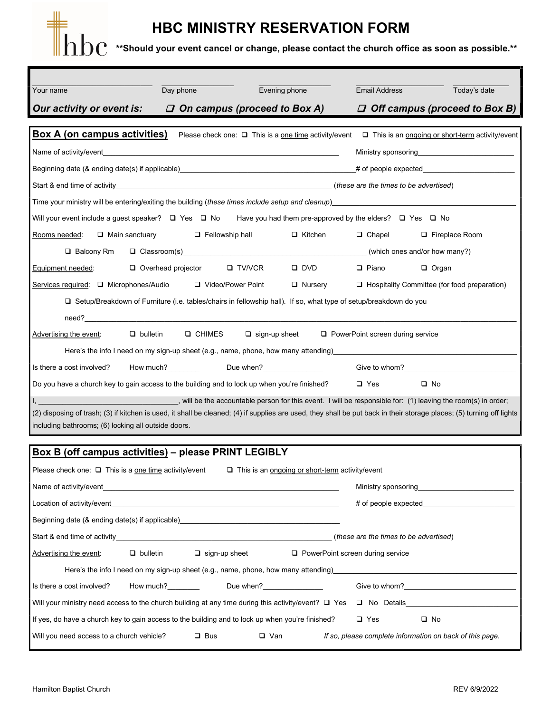## ║║

## HBC MINISTRY RESERVATION FORM

 $\rm 100$   $\cdot$  \*\*Should your event cancel or change, please contact the church office as soon as possible.\*\*

| Your name                                                                                                                                                                                                                                          | Day phone                                                                                                                                                                                                                      | Evening phone               | <b>Email Address</b>                                                                                                                                                                                                           | Today's date                                        |  |  |  |
|----------------------------------------------------------------------------------------------------------------------------------------------------------------------------------------------------------------------------------------------------|--------------------------------------------------------------------------------------------------------------------------------------------------------------------------------------------------------------------------------|-----------------------------|--------------------------------------------------------------------------------------------------------------------------------------------------------------------------------------------------------------------------------|-----------------------------------------------------|--|--|--|
|                                                                                                                                                                                                                                                    |                                                                                                                                                                                                                                |                             |                                                                                                                                                                                                                                |                                                     |  |  |  |
| $\Box$ On campus (proceed to Box A)<br>Our activity or event is:<br>$\Box$ Off campus (proceed to Box B)                                                                                                                                           |                                                                                                                                                                                                                                |                             |                                                                                                                                                                                                                                |                                                     |  |  |  |
| Box A (on campus activities)<br>Please check one: $\Box$ This is a one time activity/event $\Box$ This is an ongoing or short-term activity/event                                                                                                  |                                                                                                                                                                                                                                |                             |                                                                                                                                                                                                                                |                                                     |  |  |  |
|                                                                                                                                                                                                                                                    | Ministry sponsoring the control of the control of the control of the control of the control of the control of t                                                                                                                |                             |                                                                                                                                                                                                                                |                                                     |  |  |  |
|                                                                                                                                                                                                                                                    |                                                                                                                                                                                                                                |                             | Beginning date (& ending date(s) if applicable) expected the state of the state of the state of the state of the state of the state of the state of the state of the state of the state of the state of the state of the state |                                                     |  |  |  |
|                                                                                                                                                                                                                                                    |                                                                                                                                                                                                                                |                             |                                                                                                                                                                                                                                |                                                     |  |  |  |
|                                                                                                                                                                                                                                                    | Time your ministry will be entering/exiting the building (these times include setup and cleanup) <b>Conservative and the setup and cleanup</b>                                                                                 |                             |                                                                                                                                                                                                                                |                                                     |  |  |  |
| Will your event include a guest speaker? $\Box$ Yes $\Box$ No Have you had them pre-approved by the elders? $\Box$ Yes $\Box$ No                                                                                                                   |                                                                                                                                                                                                                                |                             |                                                                                                                                                                                                                                |                                                     |  |  |  |
| Rooms needed:<br>$\Box$ Main sanctuary                                                                                                                                                                                                             | $\Box$ Fellowship hall                                                                                                                                                                                                         | $\Box$ Kitchen              | $\Box$ Chapel                                                                                                                                                                                                                  | □ Fireplace Room                                    |  |  |  |
| $\Box$ Balcony Rm<br>□ Classroom(s) Classroom(s) Classroom(s) Classroom(s) Classroom(s) Classroom(s) Classroom(s) Classroom(s) Classroom(s) Classroom(s) Classroom(s) Classroom(s) Classroom(s) Classroom(s) Classroom(s) Classroom(s) Classroom(s |                                                                                                                                                                                                                                |                             |                                                                                                                                                                                                                                |                                                     |  |  |  |
| Equipment needed:                                                                                                                                                                                                                                  | $\Box$ Overhead projector                                                                                                                                                                                                      | $\Box$ TV/VCR<br>$\Box$ DVD | $\Box$ Piano                                                                                                                                                                                                                   | $\Box$ Organ                                        |  |  |  |
| Services required: □ Microphones/Audio □ Video/Power Point                                                                                                                                                                                         |                                                                                                                                                                                                                                | $\Box$ Nursery              |                                                                                                                                                                                                                                | $\Box$ Hospitality Committee (for food preparation) |  |  |  |
| □ Setup/Breakdown of Furniture (i.e. tables/chairs in fellowship hall). If so, what type of setup/breakdown do you                                                                                                                                 |                                                                                                                                                                                                                                |                             |                                                                                                                                                                                                                                |                                                     |  |  |  |
| need? Note that the contract of the contract of the contract of the contract of the contract of the contract of the contract of the contract of the contract of the contract of the contract of the contract of the contract o                     |                                                                                                                                                                                                                                |                             |                                                                                                                                                                                                                                |                                                     |  |  |  |
| Advertising the event:                                                                                                                                                                                                                             | $\Box$ bulletin<br><b>Q CHIMES</b>                                                                                                                                                                                             | $\Box$ sign-up sheet        | $\Box$ PowerPoint screen during service                                                                                                                                                                                        |                                                     |  |  |  |
| Here's the info I need on my sign-up sheet (e.g., name, phone, how many attending)____                                                                                                                                                             |                                                                                                                                                                                                                                |                             |                                                                                                                                                                                                                                |                                                     |  |  |  |
| Is there a cost involved?                                                                                                                                                                                                                          | How much?<br>How much? Internal Line when? Internal Line when? Internal Line when? Internal Line when? Internal Line when? Internal Line when? Internal Line when? Internal Line when? Internal Line when? Internal Line when? |                             |                                                                                                                                                                                                                                | Give to whom?<br><u>Cive to whom?</u>               |  |  |  |
| Do you have a church key to gain access to the building and to lock up when you're finished?                                                                                                                                                       |                                                                                                                                                                                                                                |                             | $\Box$ Yes                                                                                                                                                                                                                     | $\square$ No                                        |  |  |  |
| will be the accountable person for this event. I will be responsible for: (1) leaving the room(s) in order;                                                                                                                                        |                                                                                                                                                                                                                                |                             |                                                                                                                                                                                                                                |                                                     |  |  |  |
| (2) disposing of trash; (3) if kitchen is used, it shall be cleaned; (4) if supplies are used, they shall be put back in their storage places; (5) turning off lights                                                                              |                                                                                                                                                                                                                                |                             |                                                                                                                                                                                                                                |                                                     |  |  |  |
| including bathrooms; (6) locking all outside doors.                                                                                                                                                                                                |                                                                                                                                                                                                                                |                             |                                                                                                                                                                                                                                |                                                     |  |  |  |

| Box B (off campus activities) – please PRINT LEGIBLY                                                                                                                    |  |                      |  |                                                          |  |  |
|-------------------------------------------------------------------------------------------------------------------------------------------------------------------------|--|----------------------|--|----------------------------------------------------------|--|--|
| Please check one: $\Box$ This is a one time activity/event $\Box$ This is an ongoing or short-term activity/event                                                       |  |                      |  |                                                          |  |  |
|                                                                                                                                                                         |  | Ministry sponsoring  |  |                                                          |  |  |
|                                                                                                                                                                         |  | # of people expected |  |                                                          |  |  |
| Beginning date (& ending date(s) if applicable)                                                                                                                         |  |                      |  |                                                          |  |  |
|                                                                                                                                                                         |  |                      |  | (these are the times to be advertised)                   |  |  |
| Advertising the event: $\Box$ bulletin $\Box$ sign-up sheet $\Box$ PowerPoint screen during service                                                                     |  |                      |  |                                                          |  |  |
| Here's the info I need on my sign-up sheet (e.g., name, phone, how many attending) entitled the info I need on my sign-up sheet (e.g., name, phone, how many attending) |  |                      |  |                                                          |  |  |
|                                                                                                                                                                         |  |                      |  | Give to whom?                                            |  |  |
| Will your ministry need access to the church building at any time during this activity/event? $\square$ Yes<br>□ No Details <u>Details</u>                              |  |                      |  |                                                          |  |  |
| If yes, do have a church key to gain access to the building and to lock up when you're finished?<br>$\Box$ No<br>$\Box$ Yes                                             |  |                      |  |                                                          |  |  |
| Will you need access to a church vehicle? $\Box$ Bus                                                                                                                    |  | <b>□</b> Van         |  | If so, please complete information on back of this page. |  |  |